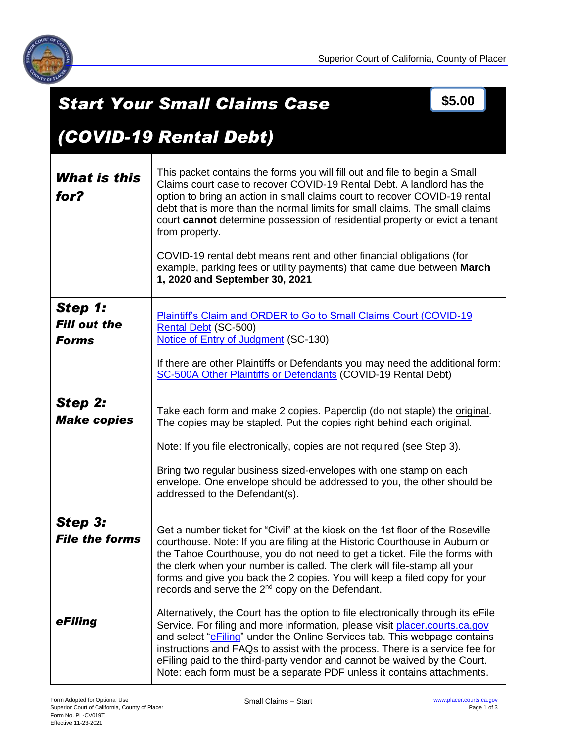

|                                                | \$5.00<br><b>Start Your Small Claims Case</b>                                                                                                                                                                                                                                                                                                                                                                                                                                                                                                                                                                                                                                                                                                                                                                                                                                                                                                                        |  |  |
|------------------------------------------------|----------------------------------------------------------------------------------------------------------------------------------------------------------------------------------------------------------------------------------------------------------------------------------------------------------------------------------------------------------------------------------------------------------------------------------------------------------------------------------------------------------------------------------------------------------------------------------------------------------------------------------------------------------------------------------------------------------------------------------------------------------------------------------------------------------------------------------------------------------------------------------------------------------------------------------------------------------------------|--|--|
|                                                | (COVID-19 Rental Debt)                                                                                                                                                                                                                                                                                                                                                                                                                                                                                                                                                                                                                                                                                                                                                                                                                                                                                                                                               |  |  |
| What is this<br>for?                           | This packet contains the forms you will fill out and file to begin a Small<br>Claims court case to recover COVID-19 Rental Debt. A landlord has the<br>option to bring an action in small claims court to recover COVID-19 rental<br>debt that is more than the normal limits for small claims. The small claims<br>court cannot determine possession of residential property or evict a tenant<br>from property.<br>COVID-19 rental debt means rent and other financial obligations (for<br>example, parking fees or utility payments) that came due between March<br>1, 2020 and September 30, 2021                                                                                                                                                                                                                                                                                                                                                                |  |  |
| Step 1:<br><b>Fill out the</b><br><b>Forms</b> | Plaintiff's Claim and ORDER to Go to Small Claims Court (COVID-19<br>Rental Debt (SC-500)<br>Notice of Entry of Judgment (SC-130)<br>If there are other Plaintiffs or Defendants you may need the additional form:<br>SC-500A Other Plaintiffs or Defendants (COVID-19 Rental Debt)                                                                                                                                                                                                                                                                                                                                                                                                                                                                                                                                                                                                                                                                                  |  |  |
| Step 2:<br><b>Make copies</b>                  | Take each form and make 2 copies. Paperclip (do not staple) the original.<br>The copies may be stapled. Put the copies right behind each original.<br>Note: If you file electronically, copies are not required (see Step 3).<br>Bring two regular business sized-envelopes with one stamp on each<br>envelope. One envelope should be addressed to you, the other should be<br>addressed to the Defendant(s).                                                                                                                                                                                                                                                                                                                                                                                                                                                                                                                                                       |  |  |
| Step 3:<br><b>File the forms</b><br>eFiling    | Get a number ticket for "Civil" at the kiosk on the 1st floor of the Roseville<br>courthouse. Note: If you are filing at the Historic Courthouse in Auburn or<br>the Tahoe Courthouse, you do not need to get a ticket. File the forms with<br>the clerk when your number is called. The clerk will file-stamp all your<br>forms and give you back the 2 copies. You will keep a filed copy for your<br>records and serve the 2 <sup>nd</sup> copy on the Defendant.<br>Alternatively, the Court has the option to file electronically through its eFile<br>Service. For filing and more information, please visit placer.courts.ca.gov<br>and select "e <b>Filing</b> " under the Online Services tab. This webpage contains<br>instructions and FAQs to assist with the process. There is a service fee for<br>eFiling paid to the third-party vendor and cannot be waived by the Court.<br>Note: each form must be a separate PDF unless it contains attachments. |  |  |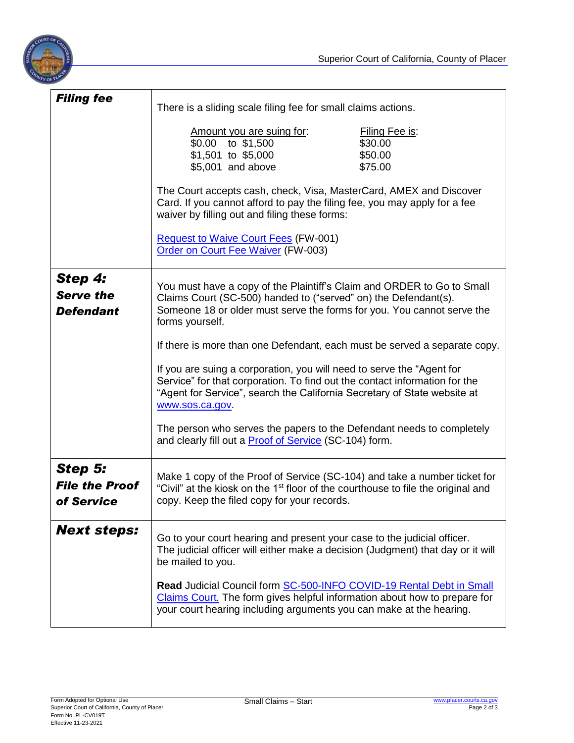

| <b>Filing fee</b>                               | There is a sliding scale filing fee for small claims actions.                                                                                                                                                                                     |  |  |
|-------------------------------------------------|---------------------------------------------------------------------------------------------------------------------------------------------------------------------------------------------------------------------------------------------------|--|--|
|                                                 | Amount you are suing for:<br>Filing Fee is:<br>\$0.00 to \$1,500<br>\$30.00<br>\$1,501 to \$5,000<br>\$50.00<br>\$5,001 and above<br>\$75.00                                                                                                      |  |  |
|                                                 | The Court accepts cash, check, Visa, MasterCard, AMEX and Discover<br>Card. If you cannot afford to pay the filing fee, you may apply for a fee<br>waiver by filling out and filing these forms:                                                  |  |  |
|                                                 | <b>Request to Waive Court Fees (FW-001)</b><br>Order on Court Fee Waiver (FW-003)                                                                                                                                                                 |  |  |
| Step 4:<br><b>Serve the</b><br><b>Defendant</b> | You must have a copy of the Plaintiff's Claim and ORDER to Go to Small<br>Claims Court (SC-500) handed to ("served" on) the Defendant(s).<br>Someone 18 or older must serve the forms for you. You cannot serve the<br>forms yourself.            |  |  |
|                                                 | If there is more than one Defendant, each must be served a separate copy.                                                                                                                                                                         |  |  |
|                                                 | If you are suing a corporation, you will need to serve the "Agent for<br>Service" for that corporation. To find out the contact information for the<br>"Agent for Service", search the California Secretary of State website at<br>www.sos.ca.gov |  |  |
|                                                 | The person who serves the papers to the Defendant needs to completely<br>and clearly fill out a <b>Proof of Service</b> (SC-104) form.                                                                                                            |  |  |
| Step 5:<br><b>File the Proof</b><br>of Service  | Make 1 copy of the Proof of Service (SC-104) and take a number ticket for<br>"Civil" at the kiosk on the 1 <sup>st</sup> floor of the courthouse to file the original and<br>copy. Keep the filed copy for your records.                          |  |  |
| <b>Next steps:</b>                              | Go to your court hearing and present your case to the judicial officer.<br>The judicial officer will either make a decision (Judgment) that day or it will<br>be mailed to you.                                                                   |  |  |
|                                                 | Read Judicial Council form SC-500-INFO COVID-19 Rental Debt in Small<br>Claims Court. The form gives helpful information about how to prepare for<br>your court hearing including arguments you can make at the hearing.                          |  |  |